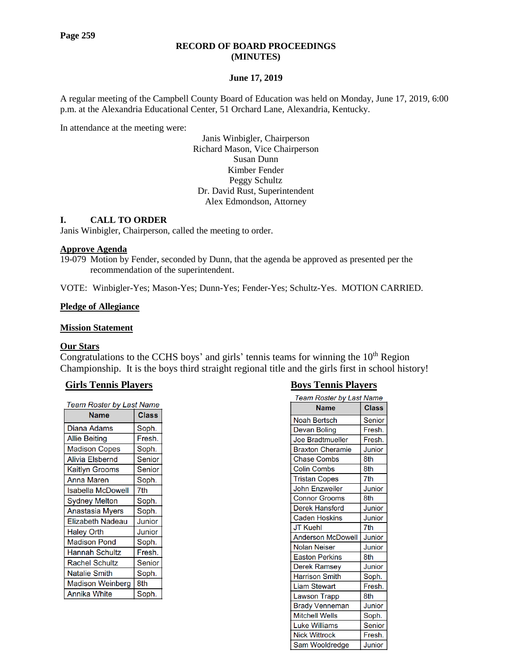#### **RECORD OF BOARD PROCEEDINGS (MINUTES)**

## **June 17, 2019**

A regular meeting of the Campbell County Board of Education was held on Monday, June 17, 2019, 6:00 p.m. at the Alexandria Educational Center, 51 Orchard Lane, Alexandria, Kentucky.

In attendance at the meeting were:

Janis Winbigler, Chairperson Richard Mason, Vice Chairperson Susan Dunn Kimber Fender Peggy Schultz Dr. David Rust, Superintendent Alex Edmondson, Attorney

#### **I. CALL TO ORDER**

Janis Winbigler, Chairperson, called the meeting to order.

#### **Approve Agenda**

19-079 Motion by Fender, seconded by Dunn, that the agenda be approved as presented per the recommendation of the superintendent.

VOTE: Winbigler-Yes; Mason-Yes; Dunn-Yes; Fender-Yes; Schultz-Yes. MOTION CARRIED.

#### **Pledge of Allegiance**

#### **Mission Statement**

#### **Our Stars**

Congratulations to the CCHS boys' and girls' tennis teams for winning the  $10<sup>th</sup>$  Region Championship. It is the boys third straight regional title and the girls first in school history!

#### **Girls Tennis Players Boys Tennis Players**

| Team Roster by Last Name |        |  |  |
|--------------------------|--------|--|--|
| Name                     | Class  |  |  |
| Diana Adams              | Soph.  |  |  |
| <b>Allie Beiting</b>     | Fresh. |  |  |
| <b>Madison Copes</b>     | Soph.  |  |  |
| <b>Alivia Elsbernd</b>   | Senior |  |  |
| <b>Kaitlyn Grooms</b>    | Senior |  |  |
| <b>Anna Maren</b>        | Soph.  |  |  |
| Isabella McDowell        | 7th    |  |  |
| <b>Sydney Melton</b>     | Soph.  |  |  |
| Anastasia Myers          | Soph.  |  |  |
| <b>Elizabeth Nadeau</b>  | Junior |  |  |
| <b>Haley Orth</b>        | Junior |  |  |
| <b>Madison Pond</b>      | Soph.  |  |  |
| <b>Hannah Schultz</b>    | Fresh. |  |  |
| <b>Rachel Schultz</b>    | Senior |  |  |
| <b>Natalie Smith</b>     | Soph.  |  |  |
| <b>Madison Weinberg</b>  | 8th    |  |  |
| Annika White             | Soph.  |  |  |

| Team Roster by Last Name |               |  |  |  |
|--------------------------|---------------|--|--|--|
| <b>Name</b>              | <b>Class</b>  |  |  |  |
| <b>Noah Bertsch</b>      | Senior        |  |  |  |
| Devan Boling             | Fresh.        |  |  |  |
| <b>Joe Bradtmueller</b>  | Fresh.        |  |  |  |
| <b>Braxton Cheramie</b>  | Junior        |  |  |  |
| <b>Chase Combs</b>       | 8th           |  |  |  |
| <b>Colin Combs</b>       | 8th           |  |  |  |
| <b>Tristan Copes</b>     | 7th           |  |  |  |
| <b>John Enzweiler</b>    | Junior        |  |  |  |
| <b>Connor Grooms</b>     | 8th           |  |  |  |
| <b>Derek Hansford</b>    | Junior        |  |  |  |
| <b>Caden Hoskins</b>     | Junior        |  |  |  |
| <b>JT Kuehl</b>          | 7th           |  |  |  |
| <b>Anderson McDowell</b> | Junior        |  |  |  |
| Nolan Neiser             | Junior        |  |  |  |
| <b>Easton Perkins</b>    | 8th           |  |  |  |
| Derek Ramsey             | Junior        |  |  |  |
| <b>Harrison Smith</b>    | Soph.         |  |  |  |
| <b>Liam Stewart</b>      | Fresh.        |  |  |  |
| Lawson Trapp             | 8th           |  |  |  |
| Brady Venneman           | Junior        |  |  |  |
| Mitchell Wells           | Soph.         |  |  |  |
| <b>Luke Williams</b>     | Senior        |  |  |  |
| <b>Nick Wittrock</b>     | Fresh.        |  |  |  |
| Sam Wooldredge           | <b>Junior</b> |  |  |  |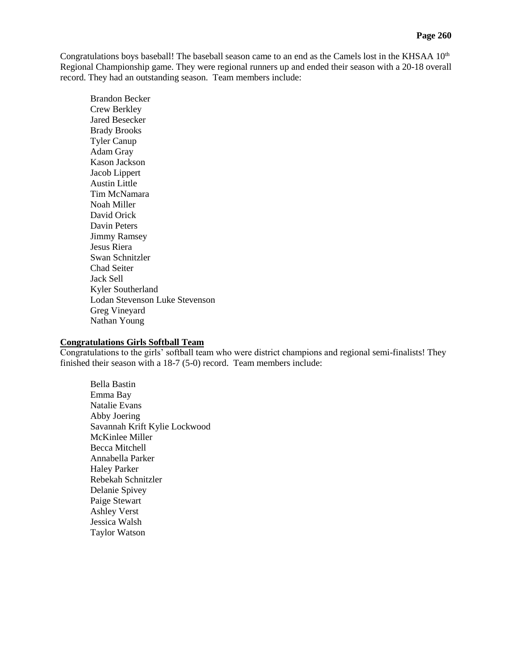Congratulations boys baseball! The baseball season came to an end as the Camels lost in the KHSAA  $10<sup>th</sup>$ Regional Championship game. They were regional runners up and ended their season with a 20-18 overall record. They had an outstanding season. Team members include:

Brandon Becker Crew Berkley Jared Besecker Brady Brooks Tyler Canup Adam Gray Kason Jackson Jacob Lippert Austin Little Tim McNamara Noah Miller David Orick Davin Peters Jimmy Ramsey Jesus Riera Swan Schnitzler Chad Seiter Jack Sell Kyler Southerland Lodan Stevenson Luke Stevenson Greg Vineyard Nathan Young

## **Congratulations Girls Softball Team**

Congratulations to the girls' softball team who were district champions and regional semi-finalists! They finished their season with a 18-7 (5-0) record. Team members include:

Bella Bastin Emma Bay Natalie Evans Abby Joering Savannah Krift Kylie Lockwood McKinlee Miller Becca Mitchell Annabella Parker Haley Parker Rebekah Schnitzler Delanie Spivey Paige Stewart Ashley Verst Jessica Walsh Taylor Watson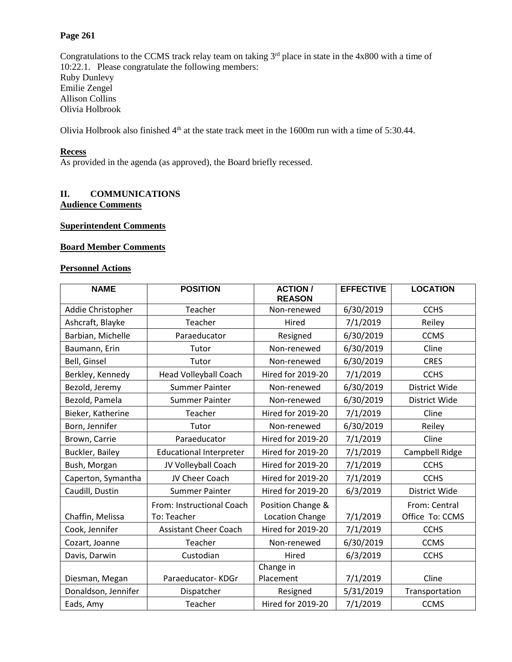# **Page 261**

Congratulations to the CCMS track relay team on taking  $3<sup>rd</sup>$  place in state in the 4x800 with a time of 10:22.1. Please congratulate the following members: Ruby Dunlevy Emilie Zengel Allison Collins Olivia Holbrook

Olivia Holbrook also finished 4th at the state track meet in the 1600m run with a time of 5:30.44.

# **Recess**

As provided in the agenda (as approved), the Board briefly recessed.

# **II. COMMUNICATIONS Audience Comments**

## **Superintendent Comments**

#### **Board Member Comments**

## **Personnel Actions**

| <b>NAME</b>         | <b>POSITION</b>                          | <b>ACTION /</b><br><b>REASON</b>            | <b>EFFECTIVE</b> | <b>LOCATION</b>                  |  |
|---------------------|------------------------------------------|---------------------------------------------|------------------|----------------------------------|--|
| Addie Christopher   | Teacher                                  | Non-renewed                                 | 6/30/2019        | <b>CCHS</b>                      |  |
| Ashcraft, Blayke    | Teacher                                  | Hired                                       | 7/1/2019         | Reiley                           |  |
| Barbian, Michelle   | Paraeducator                             | Resigned                                    | 6/30/2019        | <b>CCMS</b>                      |  |
| Baumann, Erin       | Tutor                                    | Non-renewed                                 | 6/30/2019        | Cline                            |  |
| Bell, Ginsel        | Tutor                                    | Non-renewed                                 | 6/30/2019        | <b>CRES</b>                      |  |
| Berkley, Kennedy    | Head Volleyball Coach                    | <b>Hired for 2019-20</b>                    | 7/1/2019         | <b>CCHS</b>                      |  |
| Bezold, Jeremy      | <b>Summer Painter</b>                    | Non-renewed                                 | 6/30/2019        | District Wide                    |  |
| Bezold, Pamela      | <b>Summer Painter</b>                    | Non-renewed                                 | 6/30/2019        | District Wide                    |  |
| Bieker, Katherine   | Teacher                                  | <b>Hired for 2019-20</b>                    | 7/1/2019         | Cline                            |  |
| Born, Jennifer      | Tutor                                    | Non-renewed                                 | 6/30/2019        | Reiley                           |  |
| Brown, Carrie       | Paraeducator                             | <b>Hired for 2019-20</b>                    | 7/1/2019         | Cline                            |  |
| Buckler, Bailey     | <b>Educational Interpreter</b>           | <b>Hired for 2019-20</b>                    | 7/1/2019         | Campbell Ridge                   |  |
| Bush, Morgan        | JV Volleyball Coach                      | <b>Hired for 2019-20</b>                    | 7/1/2019         | <b>CCHS</b>                      |  |
| Caperton, Symantha  | JV Cheer Coach                           | <b>Hired for 2019-20</b>                    | 7/1/2019         | <b>CCHS</b>                      |  |
| Caudill, Dustin     | <b>Summer Painter</b>                    | <b>Hired for 2019-20</b>                    | 6/3/2019         | District Wide                    |  |
| Chaffin, Melissa    | From: Instructional Coach<br>To: Teacher | Position Change &<br><b>Location Change</b> | 7/1/2019         | From: Central<br>Office To: CCMS |  |
| Cook, Jennifer      | <b>Assistant Cheer Coach</b>             | <b>Hired for 2019-20</b>                    | 7/1/2019         | <b>CCHS</b>                      |  |
| Cozart, Joanne      | Teacher                                  | Non-renewed                                 | 6/30/2019        | <b>CCMS</b>                      |  |
| Davis, Darwin       | Custodian                                | Hired                                       | 6/3/2019         | <b>CCHS</b>                      |  |
| Diesman, Megan      | Paraeducator-KDGr                        | Change in<br>7/1/2019<br>Placement          |                  | Cline                            |  |
| Donaldson, Jennifer | Dispatcher                               | Resigned                                    | 5/31/2019        | Transportation                   |  |
| Eads, Amy           | Teacher                                  | <b>Hired for 2019-20</b><br>7/1/2019        |                  | <b>CCMS</b>                      |  |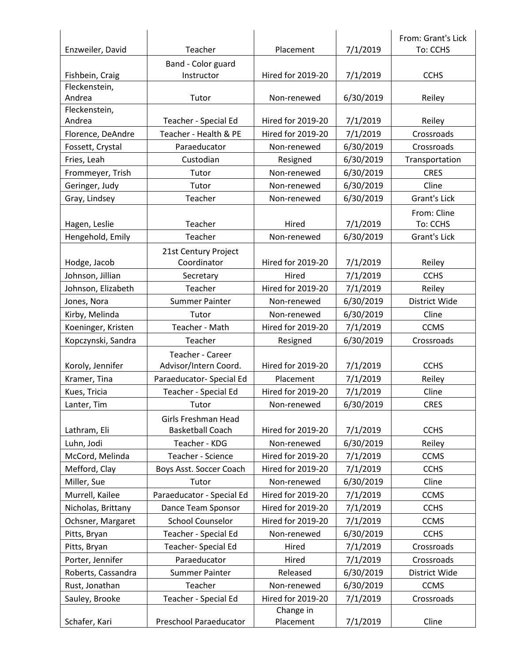|                         |                           |                                    |           | From: Grant's Lick  |  |
|-------------------------|---------------------------|------------------------------------|-----------|---------------------|--|
| Enzweiler, David        | Teacher                   | Placement                          | 7/1/2019  | To: CCHS            |  |
|                         | Band - Color guard        |                                    |           |                     |  |
| Fishbein, Craig         | Instructor                | <b>Hired for 2019-20</b>           | 7/1/2019  | <b>CCHS</b>         |  |
| Fleckenstein,           |                           |                                    |           |                     |  |
| Andrea                  | Tutor                     | Non-renewed                        | 6/30/2019 | Reiley              |  |
| Fleckenstein,<br>Andrea | Teacher - Special Ed      | <b>Hired for 2019-20</b>           | 7/1/2019  | Reiley              |  |
|                         | Teacher - Health & PE     | <b>Hired for 2019-20</b>           |           | Crossroads          |  |
| Florence, DeAndre       |                           |                                    | 7/1/2019  |                     |  |
| Fossett, Crystal        | Paraeducator              | Non-renewed                        | 6/30/2019 | Crossroads          |  |
| Fries, Leah             | Custodian                 | Resigned                           | 6/30/2019 | Transportation      |  |
| Frommeyer, Trish        | Tutor                     | Non-renewed                        | 6/30/2019 | <b>CRES</b>         |  |
| Geringer, Judy          | Tutor                     | Non-renewed                        | 6/30/2019 | Cline               |  |
| Gray, Lindsey           | Teacher                   | Non-renewed                        | 6/30/2019 | <b>Grant's Lick</b> |  |
|                         |                           |                                    |           | From: Cline         |  |
| Hagen, Leslie           | Teacher                   | Hired                              | 7/1/2019  | To: CCHS            |  |
| Hengehold, Emily        | Teacher                   | Non-renewed                        | 6/30/2019 | <b>Grant's Lick</b> |  |
|                         | 21st Century Project      |                                    |           |                     |  |
| Hodge, Jacob            | Coordinator               | <b>Hired for 2019-20</b>           | 7/1/2019  | Reiley              |  |
| Johnson, Jillian        | Secretary                 | Hired                              | 7/1/2019  | <b>CCHS</b>         |  |
| Johnson, Elizabeth      | Teacher                   | <b>Hired for 2019-20</b>           | 7/1/2019  | Reiley              |  |
| Jones, Nora             | <b>Summer Painter</b>     | Non-renewed                        | 6/30/2019 | District Wide       |  |
| Kirby, Melinda          | Tutor                     | Non-renewed                        | 6/30/2019 | Cline               |  |
| Koeninger, Kristen      | Teacher - Math            | <b>Hired for 2019-20</b>           | 7/1/2019  | <b>CCMS</b>         |  |
| Kopczynski, Sandra      | Teacher                   | Resigned                           | 6/30/2019 | Crossroads          |  |
|                         | Teacher - Career          |                                    |           |                     |  |
| Koroly, Jennifer        | Advisor/Intern Coord.     | Hired for 2019-20                  | 7/1/2019  | <b>CCHS</b>         |  |
| Kramer, Tina            | Paraeducator- Special Ed  | Placement                          | 7/1/2019  | Reiley              |  |
| Kues, Tricia            | Teacher - Special Ed      | <b>Hired for 2019-20</b>           | 7/1/2019  | Cline               |  |
| Lanter, Tim             | Tutor                     | Non-renewed                        | 6/30/2019 | <b>CRES</b>         |  |
|                         | Girls Freshman Head       |                                    |           |                     |  |
| Lathram, Eli            | <b>Basketball Coach</b>   | <b>Hired for 2019-20</b>           | 7/1/2019  | <b>CCHS</b>         |  |
| Luhn, Jodi              | Teacher - KDG             | Non-renewed                        | 6/30/2019 | Reiley              |  |
| McCord, Melinda         | Teacher - Science         | <b>Hired for 2019-20</b>           | 7/1/2019  | <b>CCMS</b>         |  |
| Mefford, Clay           | Boys Asst. Soccer Coach   | <b>Hired for 2019-20</b>           | 7/1/2019  | <b>CCHS</b>         |  |
| Miller, Sue             | Tutor                     | Non-renewed                        | 6/30/2019 | Cline               |  |
| Murrell, Kailee         | Paraeducator - Special Ed | <b>Hired for 2019-20</b>           | 7/1/2019  | <b>CCMS</b>         |  |
| Nicholas, Brittany      | Dance Team Sponsor        | <b>Hired for 2019-20</b>           | 7/1/2019  | <b>CCHS</b>         |  |
| Ochsner, Margaret       | <b>School Counselor</b>   | <b>Hired for 2019-20</b>           | 7/1/2019  | <b>CCMS</b>         |  |
| Pitts, Bryan            | Teacher - Special Ed      | Non-renewed                        | 6/30/2019 | <b>CCHS</b>         |  |
| Pitts, Bryan            | Teacher- Special Ed       |                                    |           | Crossroads          |  |
|                         | Paraeducator              | Hired<br>7/1/2019                  |           | Crossroads          |  |
| Porter, Jennifer        |                           | Hired                              | 7/1/2019  |                     |  |
| Roberts, Cassandra      | Summer Painter            | Released                           | 6/30/2019 | District Wide       |  |
| Rust, Jonathan          | Teacher                   | Non-renewed                        | 6/30/2019 | <b>CCMS</b>         |  |
| Sauley, Brooke          | Teacher - Special Ed      | <b>Hired for 2019-20</b>           | 7/1/2019  | Crossroads          |  |
| Schafer, Kari           | Preschool Paraeducator    | Change in<br>7/1/2019<br>Placement |           | Cline               |  |
|                         |                           |                                    |           |                     |  |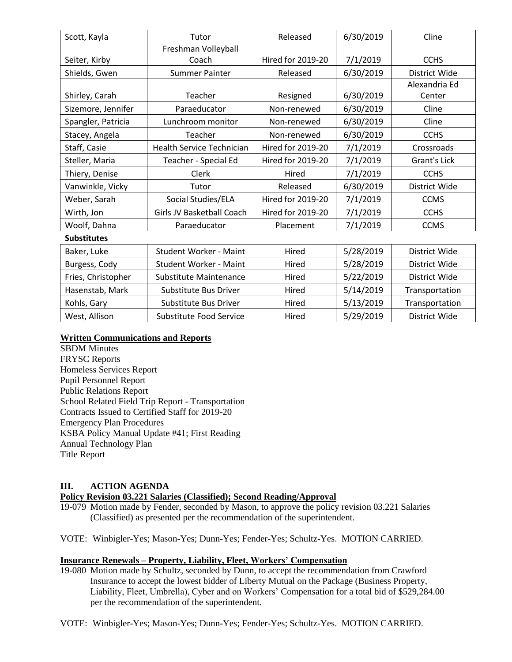| Scott, Kayla       | Tutor                            | Released                 | 6/30/2019 | Cline               |  |
|--------------------|----------------------------------|--------------------------|-----------|---------------------|--|
|                    | Freshman Volleyball              |                          |           |                     |  |
| Seiter, Kirby      | Coach                            | <b>Hired for 2019-20</b> | 7/1/2019  | <b>CCHS</b>         |  |
| Shields, Gwen      | <b>Summer Painter</b>            | Released                 | 6/30/2019 | District Wide       |  |
|                    |                                  |                          |           | Alexandria Ed       |  |
| Shirley, Carah     | Teacher                          | Resigned                 | 6/30/2019 | Center              |  |
| Sizemore, Jennifer | Paraeducator                     | Non-renewed              | 6/30/2019 | Cline               |  |
| Spangler, Patricia | Lunchroom monitor                | Non-renewed              | 6/30/2019 | Cline               |  |
| Stacey, Angela     | Teacher                          | Non-renewed              | 6/30/2019 | <b>CCHS</b>         |  |
| Staff, Casie       | <b>Health Service Technician</b> | <b>Hired for 2019-20</b> | 7/1/2019  | Crossroads          |  |
| Steller, Maria     | Teacher - Special Ed             | <b>Hired for 2019-20</b> | 7/1/2019  | <b>Grant's Lick</b> |  |
| Thiery, Denise     | Clerk                            | Hired                    | 7/1/2019  | <b>CCHS</b>         |  |
| Vanwinkle, Vicky   | Tutor                            | Released                 | 6/30/2019 | District Wide       |  |
| Weber, Sarah       | Social Studies/ELA               | <b>Hired for 2019-20</b> | 7/1/2019  | <b>CCMS</b>         |  |
| Wirth, Jon         | Girls JV Basketball Coach        | <b>Hired for 2019-20</b> | 7/1/2019  | <b>CCHS</b>         |  |
| Woolf, Dahna       | Paraeducator                     | Placement                | 7/1/2019  | <b>CCMS</b>         |  |
| <b>Substitutes</b> |                                  |                          |           |                     |  |
| Baker, Luke        | <b>Student Worker - Maint</b>    | Hired                    | 5/28/2019 | District Wide       |  |
| Burgess, Cody      | <b>Student Worker - Maint</b>    | Hired                    | 5/28/2019 | District Wide       |  |
| Fries, Christopher | Substitute Maintenance           | Hired                    | 5/22/2019 | District Wide       |  |
| Hasenstab, Mark    | Substitute Bus Driver            | Hired                    | 5/14/2019 | Transportation      |  |
| Kohls, Gary        | Substitute Bus Driver            | Hired                    | 5/13/2019 | Transportation      |  |
| West, Allison      | Substitute Food Service          | Hired                    | 5/29/2019 | District Wide       |  |

## **Written Communications and Reports**

SBDM Minutes FRYSC Reports Homeless Services Report Pupil Personnel Report Public Relations Report School Related Field Trip Report - Transportation Contracts Issued to Certified Staff for 2019-20 Emergency Plan Procedures KSBA Policy Manual Update #41; First Reading Annual Technology Plan Title Report

# **III. ACTION AGENDA**

**Policy Revision 03.221 Salaries (Classified); Second Reading/Approval**

- 19-079 Motion made by Fender, seconded by Mason, to approve the policy revision 03.221 Salaries (Classified) as presented per the recommendation of the superintendent.
- VOTE: Winbigler-Yes; Mason-Yes; Dunn-Yes; Fender-Yes; Schultz-Yes. MOTION CARRIED.

# **Insurance Renewals – Property, Liability, Fleet, Workers' Compensation**

19-080 Motion made by Schultz, seconded by Dunn, to accept the recommendation from Crawford Insurance to accept the lowest bidder of Liberty Mutual on the Package (Business Property, Liability, Fleet, Umbrella), Cyber and on Workers' Compensation for a total bid of \$529,284.00 per the recommendation of the superintendent.

VOTE: Winbigler-Yes; Mason-Yes; Dunn-Yes; Fender-Yes; Schultz-Yes. MOTION CARRIED.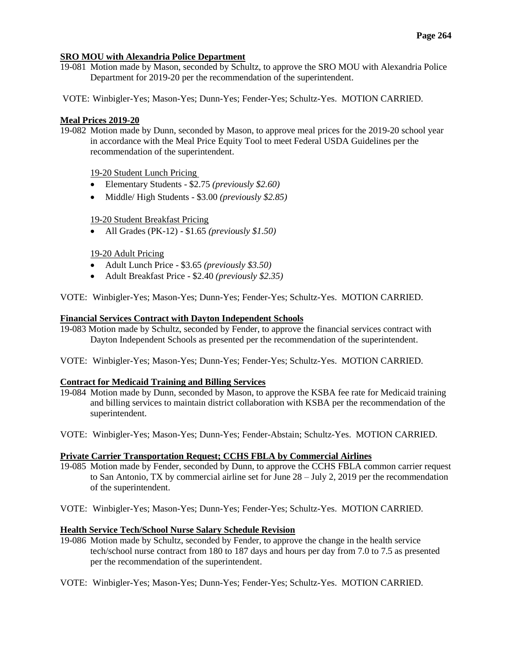## **SRO MOU with Alexandria Police Department**

- 19-081 Motion made by Mason, seconded by Schultz, to approve the SRO MOU with Alexandria Police Department for 2019-20 per the recommendation of the superintendent.
- VOTE: Winbigler-Yes; Mason-Yes; Dunn-Yes; Fender-Yes; Schultz-Yes. MOTION CARRIED.

## **Meal Prices 2019-20**

19-082 Motion made by Dunn, seconded by Mason, to approve meal prices for the 2019-20 school year in accordance with the Meal Price Equity Tool to meet Federal USDA Guidelines per the recommendation of the superintendent.

# 19-20 Student Lunch Pricing

- Elementary Students \$2.75 *(previously \$2.60)*
- Middle/ High Students \$3.00 *(previously \$2.85)*

# 19-20 Student Breakfast Pricing

All Grades (PK-12) - \$1.65 *(previously \$1.50)*

# 19-20 Adult Pricing

- Adult Lunch Price \$3.65 *(previously \$3.50)*
- Adult Breakfast Price \$2.40 *(previously \$2.35)*

VOTE: Winbigler-Yes; Mason-Yes; Dunn-Yes; Fender-Yes; Schultz-Yes. MOTION CARRIED.

## **Financial Services Contract with Dayton Independent Schools**

- 19-083 Motion made by Schultz, seconded by Fender, to approve the financial services contract with Dayton Independent Schools as presented per the recommendation of the superintendent.
- VOTE: Winbigler-Yes; Mason-Yes; Dunn-Yes; Fender-Yes; Schultz-Yes. MOTION CARRIED.

## **Contract for Medicaid Training and Billing Services**

- 19-084 Motion made by Dunn, seconded by Mason, to approve the KSBA fee rate for Medicaid training and billing services to maintain district collaboration with KSBA per the recommendation of the superintendent.
- VOTE: Winbigler-Yes; Mason-Yes; Dunn-Yes; Fender-Abstain; Schultz-Yes. MOTION CARRIED.

## **Private Carrier Transportation Request; CCHS FBLA by Commercial Airlines**

- 19-085 Motion made by Fender, seconded by Dunn, to approve the CCHS FBLA common carrier request to San Antonio, TX by commercial airline set for June 28 – July 2, 2019 per the recommendation of the superintendent.
- VOTE: Winbigler-Yes; Mason-Yes; Dunn-Yes; Fender-Yes; Schultz-Yes. MOTION CARRIED.

## **Health Service Tech/School Nurse Salary Schedule Revision**

- 19-086 Motion made by Schultz, seconded by Fender, to approve the change in the health service tech/school nurse contract from 180 to 187 days and hours per day from 7.0 to 7.5 as presented per the recommendation of the superintendent.
- VOTE: Winbigler-Yes; Mason-Yes; Dunn-Yes; Fender-Yes; Schultz-Yes. MOTION CARRIED.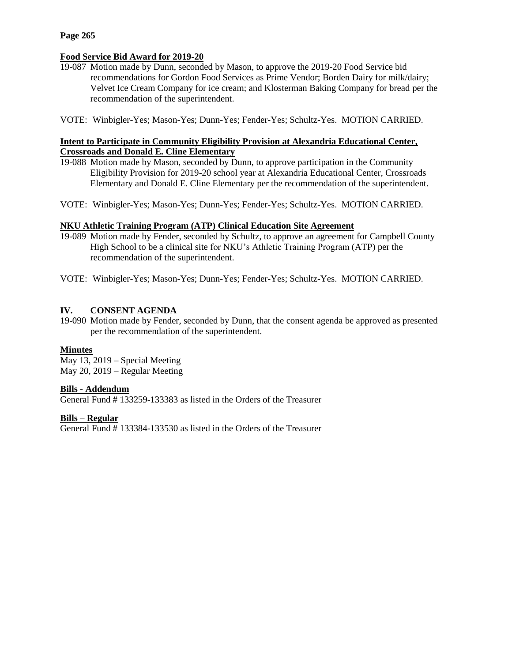#### **Page 265**

## **Food Service Bid Award for 2019-20**

- 19-087 Motion made by Dunn, seconded by Mason, to approve the 2019-20 Food Service bid recommendations for Gordon Food Services as Prime Vendor; Borden Dairy for milk/dairy; Velvet Ice Cream Company for ice cream; and Klosterman Baking Company for bread per the recommendation of the superintendent.
- VOTE: Winbigler-Yes; Mason-Yes; Dunn-Yes; Fender-Yes; Schultz-Yes. MOTION CARRIED.

## **Intent to Participate in Community Eligibility Provision at Alexandria Educational Center, Crossroads and Donald E. Cline Elementary**

- 19-088 Motion made by Mason, seconded by Dunn, to approve participation in the Community Eligibility Provision for 2019-20 school year at Alexandria Educational Center, Crossroads Elementary and Donald E. Cline Elementary per the recommendation of the superintendent.
- VOTE: Winbigler-Yes; Mason-Yes; Dunn-Yes; Fender-Yes; Schultz-Yes. MOTION CARRIED.

#### **NKU Athletic Training Program (ATP) Clinical Education Site Agreement**

- 19-089 Motion made by Fender, seconded by Schultz, to approve an agreement for Campbell County High School to be a clinical site for NKU's Athletic Training Program (ATP) per the recommendation of the superintendent.
- VOTE: Winbigler-Yes; Mason-Yes; Dunn-Yes; Fender-Yes; Schultz-Yes. MOTION CARRIED.

#### **IV. CONSENT AGENDA**

19-090 Motion made by Fender, seconded by Dunn, that the consent agenda be approved as presented per the recommendation of the superintendent.

#### **Minutes**

May 13, 2019 – Special Meeting May 20, 2019 – Regular Meeting

#### **Bills - Addendum**

General Fund # 133259-133383 as listed in the Orders of the Treasurer

#### **Bills – Regular**

General Fund # 133384-133530 as listed in the Orders of the Treasurer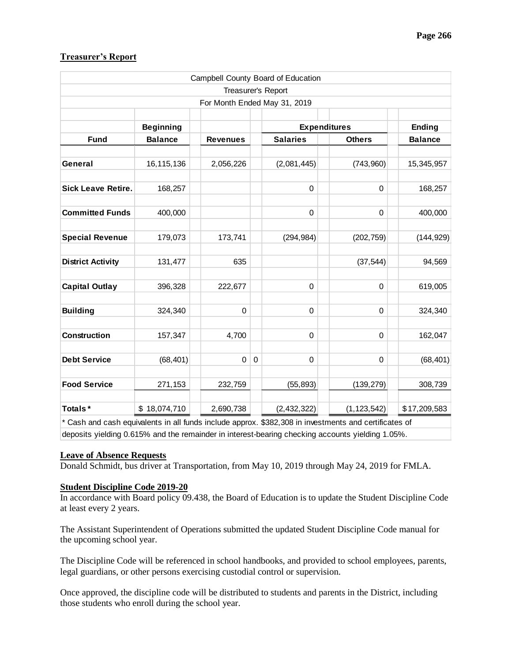| Campbell County Board of Education                                                                                                                                                                                                     |                  |                 |             |                     |               |                |
|----------------------------------------------------------------------------------------------------------------------------------------------------------------------------------------------------------------------------------------|------------------|-----------------|-------------|---------------------|---------------|----------------|
| Treasurer's Report<br>For Month Ended May 31, 2019                                                                                                                                                                                     |                  |                 |             |                     |               |                |
|                                                                                                                                                                                                                                        |                  |                 |             |                     |               |                |
|                                                                                                                                                                                                                                        | <b>Beginning</b> |                 |             | <b>Expenditures</b> |               | <b>Ending</b>  |
| <b>Fund</b>                                                                                                                                                                                                                            | <b>Balance</b>   | <b>Revenues</b> |             | <b>Salaries</b>     | <b>Others</b> | <b>Balance</b> |
|                                                                                                                                                                                                                                        |                  |                 |             |                     |               |                |
| General                                                                                                                                                                                                                                | 16,115,136       | 2,056,226       |             | (2,081,445)         | (743,960)     | 15,345,957     |
| <b>Sick Leave Retire.</b>                                                                                                                                                                                                              | 168,257          |                 |             | 0                   | 0             | 168,257        |
| <b>Committed Funds</b>                                                                                                                                                                                                                 | 400,000          |                 |             | 0                   | 0             | 400,000        |
| <b>Special Revenue</b>                                                                                                                                                                                                                 | 179,073          | 173,741         |             | (294, 984)          | (202, 759)    | (144, 929)     |
| <b>District Activity</b>                                                                                                                                                                                                               | 131,477          | 635             |             |                     | (37, 544)     | 94,569         |
| <b>Capital Outlay</b>                                                                                                                                                                                                                  | 396,328          | 222,677         |             | 0                   | 0             | 619,005        |
| <b>Building</b>                                                                                                                                                                                                                        | 324,340          | $\mathbf 0$     |             | 0                   | $\pmb{0}$     | 324,340        |
| <b>Construction</b>                                                                                                                                                                                                                    | 157,347          | 4,700           |             | 0                   | 0             | 162,047        |
| <b>Debt Service</b>                                                                                                                                                                                                                    | (68, 401)        | $\mathbf 0$     | $\mathbf 0$ | 0                   | 0             | (68, 401)      |
| <b>Food Service</b>                                                                                                                                                                                                                    | 271,153          | 232,759         |             | (55, 893)           | (139, 279)    | 308,739        |
| Totals*                                                                                                                                                                                                                                | \$18,074,710     | 2,690,738       |             | (2,432,322)         | (1, 123, 542) | \$17,209,583   |
| * Cash and cash equivalents in all funds include approx. \$382,308 in investments and certificates of                                                                                                                                  |                  |                 |             |                     |               |                |
| deposits yielding 0.615% and the remainder in interest-bearing checking accounts yielding 1.05%.<br><b>Leave of Absence Requests</b><br>Donald Schmidt, bus driver at Transportation, from May 10, 2019 through May 24, 2019 for FMLA. |                  |                 |             |                     |               |                |
| <b>Student Discipline Code 2019-20</b><br>In accordance with Board policy 09.438, the Board of Education is to update the Student Discipline Code<br>at least every 2 years.                                                           |                  |                 |             |                     |               |                |
| The Assistant Superintendent of Operations submitted the updated Student Discipline Code manual for<br>the upcoming school year.                                                                                                       |                  |                 |             |                     |               |                |
| The Discipline Code will be referenced in school handbooks, and provided to school employees, parents,<br>legal guardians, or other persons exercising custodial control or supervision.                                               |                  |                 |             |                     |               |                |
| Once approved, the discipline code will be distributed to students and parents in the District, including<br>those students who enroll during the school year.                                                                         |                  |                 |             |                     |               |                |

## **Treasurer's Report**

## **Leave of Absence Requests**

# **Student Discipline Code 2019-20**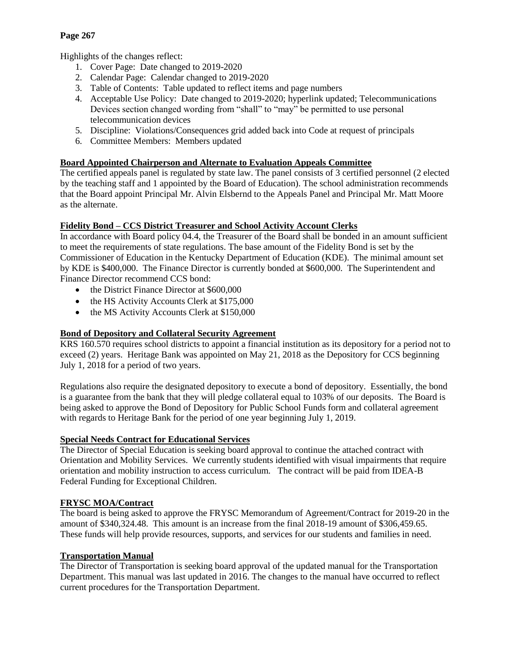# **Page 267**

Highlights of the changes reflect:

- 1. Cover Page: Date changed to 2019-2020
- 2. Calendar Page: Calendar changed to 2019-2020
- 3. Table of Contents: Table updated to reflect items and page numbers
- 4. Acceptable Use Policy: Date changed to 2019-2020; hyperlink updated; Telecommunications Devices section changed wording from "shall" to "may" be permitted to use personal telecommunication devices
- 5. Discipline: Violations/Consequences grid added back into Code at request of principals
- 6. Committee Members: Members updated

## **Board Appointed Chairperson and Alternate to Evaluation Appeals Committee**

The certified appeals panel is regulated by state law. The panel consists of 3 certified personnel (2 elected by the teaching staff and 1 appointed by the Board of Education). The school administration recommends that the Board appoint Principal Mr. Alvin Elsbernd to the Appeals Panel and Principal Mr. Matt Moore as the alternate.

# **Fidelity Bond – CCS District Treasurer and School Activity Account Clerks**

In accordance with Board policy 04.4, the Treasurer of the Board shall be bonded in an amount sufficient to meet the requirements of state regulations. The base amount of the Fidelity Bond is set by the Commissioner of Education in the Kentucky Department of Education (KDE). The minimal amount set by KDE is \$400,000. The Finance Director is currently bonded at \$600,000. The Superintendent and Finance Director recommend CCS bond:

- the District Finance Director at \$600,000
- the HS Activity Accounts Clerk at \$175,000
- the MS Activity Accounts Clerk at \$150,000

# **Bond of Depository and Collateral Security Agreement**

KRS 160.570 requires school districts to appoint a financial institution as its depository for a period not to exceed (2) years. Heritage Bank was appointed on May 21, 2018 as the Depository for CCS beginning July 1, 2018 for a period of two years.

Regulations also require the designated depository to execute a bond of depository. Essentially, the bond is a guarantee from the bank that they will pledge collateral equal to 103% of our deposits. The Board is being asked to approve the Bond of Depository for Public School Funds form and collateral agreement with regards to Heritage Bank for the period of one year beginning July 1, 2019.

## **Special Needs Contract for Educational Services**

The Director of Special Education is seeking board approval to continue the attached contract with Orientation and Mobility Services. We currently students identified with visual impairments that require orientation and mobility instruction to access curriculum. The contract will be paid from IDEA-B Federal Funding for Exceptional Children.

# **FRYSC MOA/Contract**

The board is being asked to approve the FRYSC Memorandum of Agreement/Contract for 2019-20 in the amount of \$340,324.48. This amount is an increase from the final 2018-19 amount of \$306,459.65. These funds will help provide resources, supports, and services for our students and families in need.

## **Transportation Manual**

The Director of Transportation is seeking board approval of the updated manual for the Transportation Department. This manual was last updated in 2016. The changes to the manual have occurred to reflect current procedures for the Transportation Department.